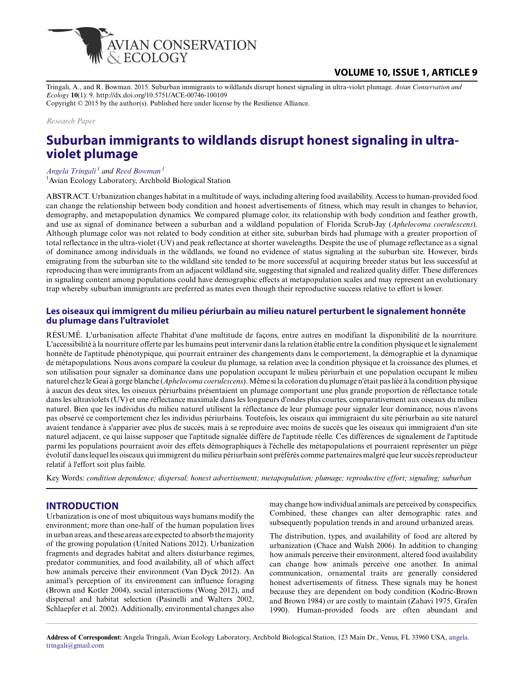

Tringali, A., and R. Bowman. 2015. Suburban immigrants to wildlands disrupt honest signaling in ultra-violet plumage. *Avian Conservation and Ecology* **10**(1): 9. http://dx.doi.org/10.5751/ACE-00746-100109

Copyright © 2015 by the author(s). Published here under license by the Resilience Alliance.

*Research Paper*

# **Suburban immigrants to wildlands disrupt honest signaling in ultraviolet plumage**

*[Angela Tringali](mailto:angela.tringali@gmail.com)<sup>1</sup> and [Reed Bowman](mailto:RBowman@archbold-station.org)<sup>1</sup>*

<sup>1</sup> Avian Ecology Laboratory, Archbold Biological Station

ABSTRACT. Urbanization changes habitat in a multitude of ways, including altering food availability. Access to human-provided food can change the relationship between body condition and honest advertisements of fitness, which may result in changes to behavior, demography, and metapopulation dynamics. We compared plumage color, its relationship with body condition and feather growth, and use as signal of dominance between a suburban and a wildland population of Florida Scrub-Jay (*Aphelocoma coerulescens*). Although plumage color was not related to body condition at either site, suburban birds had plumage with a greater proportion of total reflectance in the ultra-violet (UV) and peak reflectance at shorter wavelengths. Despite the use of plumage reflectance as a signal of dominance among individuals in the wildlands, we found no evidence of status signaling at the suburban site. However, birds emigrating from the suburban site to the wildland site tended to be more successful at acquiring breeder status but less successful at reproducing than were immigrants from an adjacent wildland site, suggesting that signaled and realized quality differ. These differences in signaling content among populations could have demographic effects at metapopulation scales and may represent an evolutionary trap whereby suburban immigrants are preferred as mates even though their reproductive success relative to effort is lower.

#### **Les oiseaux qui immigrent du milieu périurbain au milieu naturel perturbent le signalement honnête du plumage dans l'ultraviolet**

RÉSUMÉ. L'urbanisation affecte l'habitat d'une multitude de façons, entre autres en modifiant la disponibilité de la nourriture. L'accessibilité à la nourriture offerte par les humains peut intervenir dans la relation établie entre la condition physique et le signalement honnête de l'aptitude phénotypique, qui pourrait entrainer des changements dans le comportement, la démographie et la dynamique de métapopulations. Nous avons comparé la couleur du plumage, sa relation avec la condition physique et la croissance des plumes, et son utilisation pour signaler sa dominance dans une population occupant le milieu périurbain et une population occupant le milieu naturel chez le Geai à gorge blanche (*Aphelocoma coerulescens*). Même si la coloration du plumage n'était pas liée à la condition physique à aucun des deux sites, les oiseaux périurbains présentaient un plumage comportant une plus grande proportion de réflectance totale dans les ultraviolets (UV) et une réflectance maximale dans les longueurs d'ondes plus courtes, comparativement aux oiseaux du milieu naturel. Bien que les individus du milieu naturel utilisent la réflectance de leur plumage pour signaler leur dominance, nous n'avons pas observé ce comportement chez les individus périurbains. Toutefois, les oiseaux qui immigraient du site périurbain au site naturel avaient tendance à s'apparier avec plus de succès, mais à se reproduire avec moins de succès que les oiseaux qui immigraient d'un site naturel adjacent, ce qui laisse supposer que l'aptitude signalée diffère de l'aptitude réelle. Ces différences de signalement de l'aptitude parmi les populations pourraient avoir des effets démographiques à l'échelle des métapopulations et pourraient représenter un piège évolutif dans lequel les oiseaux qui immigrent du milieu périurbain sont préférés comme partenaires malgré que leur succès reproducteur relatif à l'effort soit plus faible.

Key Words: *condition dependence; dispersal; honest advertisement; metapopulation; plumage; reproductive effort; signaling; suburban*

#### **INTRODUCTION**

Urbanization is one of most ubiquitous ways humans modify the environment; more than one-half of the human population lives in urban areas, and these areas are expected to absorb the majority of the growing population (United Nations 2012). Urbanization fragments and degrades habitat and alters disturbance regimes, predator communities, and food availability, all of which affect how animals perceive their environment (Van Dyck 2012). An animal's perception of its environment can influence foraging (Brown and Kotler 2004), social interactions (Wong 2012), and dispersal and habitat selection (Pasinelli and Walters 2002, Schlaepfer et al. 2002). Additionally, environmental changes also

may change how individual animals are perceived by conspecifics. Combined, these changes can alter demographic rates and subsequently population trends in and around urbanized areas.

The distribution, types, and availability of food are altered by urbanization (Chace and Walsh 2006). In addition to changing how animals perceive their environment, altered food availability can change how animals perceive one another. In animal communication, ornamental traits are generally considered honest advertisements of fitness. These signals may be honest because they are dependent on body condition (Kodric-Brown and Brown 1984) or are costly to maintain (Zahavi 1975, Grafen 1990). Human-provided foods are often abundant and

**Address of Correspondent:** Angela Tringali, Avian Ecology Laboratory, Archbold Biological Station, 123 Main Dr., Venus, FL 33960 USA, [angela.](mailto:angela.tringali@gmail.com) [tringali@gmail.com](mailto:angela.tringali@gmail.com)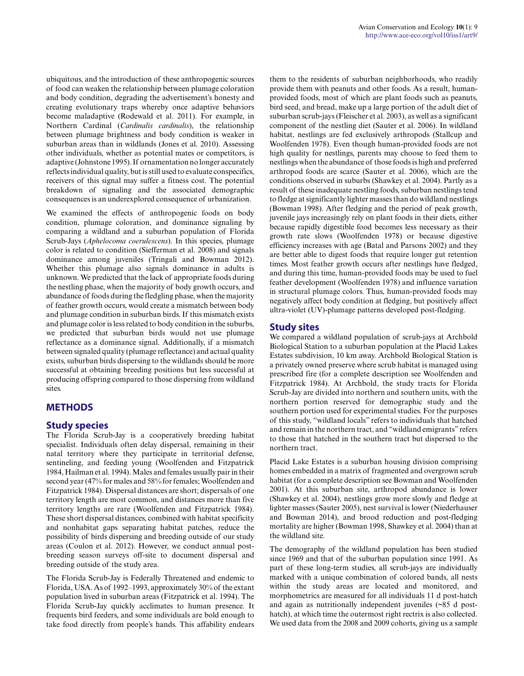ubiquitous, and the introduction of these anthropogenic sources of food can weaken the relationship between plumage coloration and body condition, degrading the advertisement's honesty and creating evolutionary traps whereby once adaptive behaviors become maladaptive (Rodewald et al. 2011). For example, in Northern Cardinal (*Cardinalis cardinalis*), the relationship between plumage brightness and body condition is weaker in suburban areas than in wildlands (Jones et al. 2010). Assessing other individuals, whether as potential mates or competitors, is adaptive (Johnstone 1995). If ornamentation no longer accurately reflects individual quality, but is still used to evaluate conspecifics, receivers of this signal may suffer a fitness cost. The potential breakdown of signaling and the associated demographic consequences is an underexplored consequence of urbanization.

We examined the effects of anthropogenic foods on body condition, plumage coloration, and dominance signaling by comparing a wildland and a suburban population of Florida Scrub-Jays (*Aphelocoma coerulescens*). In this species, plumage color is related to condition (Siefferman et al. 2008) and signals dominance among juveniles (Tringali and Bowman 2012). Whether this plumage also signals dominance in adults is unknown. We predicted that the lack of appropriate foods during the nestling phase, when the majority of body growth occurs, and abundance of foods during the fledgling phase, when the majority of feather growth occurs, would create a mismatch between body and plumage condition in suburban birds. If this mismatch exists and plumage color is less related to body condition in the suburbs, we predicted that suburban birds would not use plumage reflectance as a dominance signal. Additionally, if a mismatch between signaled quality (plumage reflectance) and actual quality exists, suburban birds dispersing to the wildlands should be more successful at obtaining breeding positions but less successful at producing offspring compared to those dispersing from wildland sites.

## **METHODS**

#### **Study species**

The Florida Scrub-Jay is a cooperatively breeding habitat specialist. Individuals often delay dispersal, remaining in their natal territory where they participate in territorial defense, sentineling, and feeding young (Woolfenden and Fitzpatrick 1984, Hailman et al. 1994). Males and females usually pair in their second year (47% for males and 58% for females; Woolfenden and Fitzpatrick 1984). Dispersal distances are short; dispersals of one territory length are most common, and distances more than five territory lengths are rare (Woolfenden and Fitzpatrick 1984). These short dispersal distances, combined with habitat specificity and nonhabitat gaps separating habitat patches, reduce the possibility of birds dispersing and breeding outside of our study areas (Coulon et al. 2012). However, we conduct annual postbreeding season surveys off-site to document dispersal and breeding outside of the study area.

The Florida Scrub-Jay is Federally Threatened and endemic to Florida, USA. As of 1992–1993, approximately 30% of the extant population lived in suburban areas (Fitzpatrick et al. 1994). The Florida Scrub-Jay quickly acclimates to human presence. It frequents bird feeders, and some individuals are bold enough to take food directly from people's hands. This affability endears them to the residents of suburban neighborhoods, who readily provide them with peanuts and other foods. As a result, humanprovided foods, most of which are plant foods such as peanuts, bird seed, and bread, make up a large portion of the adult diet of suburban scrub-jays (Fleischer et al. 2003), as well as a significant component of the nestling diet (Sauter et al. 2006). In wildland habitat, nestlings are fed exclusively arthropods (Stallcup and Woolfenden 1978). Even though human-provided foods are not high quality for nestlings, parents may choose to feed them to nestlings when the abundance of those foods is high and preferred arthropod foods are scarce (Sauter et al. 2006), which are the conditions observed in suburbs (Shawkey et al. 2004). Partly as a result of these inadequate nestling foods, suburban nestlings tend to fledge at significantly lighter masses than do wildland nestlings (Bowman 1998). After fledging and the period of peak growth, juvenile jays increasingly rely on plant foods in their diets, either because rapidly digestible food becomes less necessary as their growth rate slows (Woolfenden 1978) or because digestive efficiency increases with age (Batal and Parsons 2002) and they are better able to digest foods that require longer gut retention times. Most feather growth occurs after nestlings have fledged, and during this time, human-provided foods may be used to fuel feather development (Woolfenden 1978) and influence variation in structural plumage colors. Thus, human-provided foods may negatively affect body condition at fledging, but positively affect ultra-violet (UV)-plumage patterns developed post-fledging.

### **Study sites**

We compared a wildland population of scrub-jays at Archbold Biological Station to a suburban population at the Placid Lakes Estates subdivision, 10 km away. Archbold Biological Station is a privately owned preserve where scrub habitat is managed using prescribed fire (for a complete description see Woolfenden and Fitzpatrick 1984). At Archbold, the study tracts for Florida Scrub-Jay are divided into northern and southern units, with the northern portion reserved for demographic study and the southern portion used for experimental studies. For the purposes of this study, "wildland locals" refers to individuals that hatched and remain in the northern tract, and "wildland emigrants" refers to those that hatched in the southern tract but dispersed to the northern tract.

Placid Lake Estates is a suburban housing division comprising homes embedded in a matrix of fragmented and overgrown scrub habitat (for a complete description see Bowman and Woolfenden 2001). At this suburban site, arthropod abundance is lower (Shawkey et al. 2004), nestlings grow more slowly and fledge at lighter masses (Sauter 2005), nest survival is lower (Niederhauser and Bowman 2014), and brood reduction and post-fledging mortality are higher (Bowman 1998, Shawkey et al. 2004) than at the wildland site.

The demography of the wildland population has been studied since 1969 and that of the suburban population since 1991. As part of these long-term studies, all scrub-jays are individually marked with a unique combination of colored bands, all nests within the study areas are located and monitored, and morphometrics are measured for all individuals 11 d post-hatch and again as nutritionally independent juveniles (~85 d posthatch), at which time the outermost right rectrix is also collected. We used data from the 2008 and 2009 cohorts, giving us a sample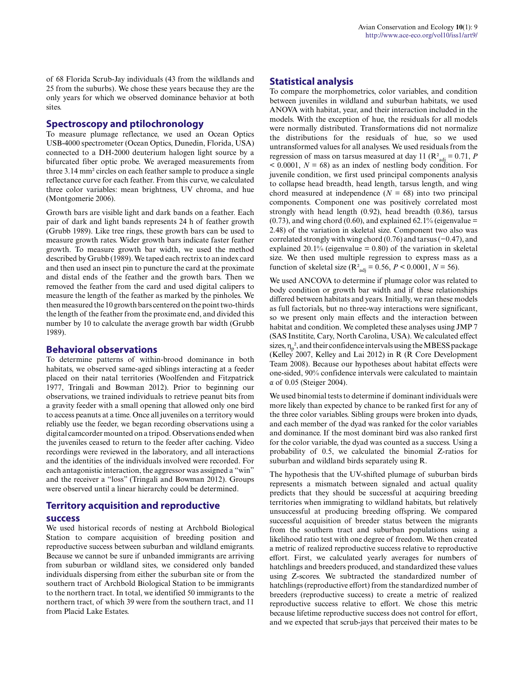of 68 Florida Scrub-Jay individuals (43 from the wildlands and 25 from the suburbs). We chose these years because they are the only years for which we observed dominance behavior at both sites.

#### **Spectroscopy and ptilochronology**

To measure plumage reflectance, we used an Ocean Optics USB-4000 spectrometer (Ocean Optics, Dunedin, Florida, USA) connected to a DH-2000 deuterium halogen light source by a bifurcated fiber optic probe. We averaged measurements from three 3.14 mm² circles on each feather sample to produce a single reflectance curve for each feather. From this curve, we calculated three color variables: mean brightness, UV chroma, and hue (Montgomerie 2006).

Growth bars are visible light and dark bands on a feather. Each pair of dark and light bands represents 24 h of feather growth (Grubb 1989). Like tree rings, these growth bars can be used to measure growth rates. Wider growth bars indicate faster feather growth. To measure growth bar width, we used the method described by Grubb (1989). We taped each rectrix to an index card and then used an insect pin to puncture the card at the proximate and distal ends of the feather and the growth bars. Then we removed the feather from the card and used digital calipers to measure the length of the feather as marked by the pinholes. We then measured the 10 growth bars centered on the point two-thirds the length of the feather from the proximate end, and divided this number by 10 to calculate the average growth bar width (Grubb 1989).

#### **Behavioral observations**

To determine patterns of within-brood dominance in both habitats, we observed same-aged siblings interacting at a feeder placed on their natal territories (Woolfenden and Fitzpatrick 1977, Tringali and Bowman 2012). Prior to beginning our observations, we trained individuals to retrieve peanut bits from a gravity feeder with a small opening that allowed only one bird to access peanuts at a time. Once all juveniles on a territory would reliably use the feeder, we began recording observations using a digital camcorder mounted on a tripod. Observations ended when the juveniles ceased to return to the feeder after caching. Video recordings were reviewed in the laboratory, and all interactions and the identities of the individuals involved were recorded. For each antagonistic interaction, the aggressor was assigned a "win" and the receiver a "loss" (Tringali and Bowman 2012). Groups were observed until a linear hierarchy could be determined.

## **Territory acquisition and reproductive success**

We used historical records of nesting at Archbold Biological Station to compare acquisition of breeding position and reproductive success between suburban and wildland emigrants. Because we cannot be sure if unbanded immigrants are arriving from suburban or wildland sites, we considered only banded individuals dispersing from either the suburban site or from the southern tract of Archbold Biological Station to be immigrants to the northern tract. In total, we identified 50 immigrants to the northern tract, of which 39 were from the southern tract, and 11 from Placid Lake Estates.

## **Statistical analysis**

To compare the morphometrics, color variables, and condition between juveniles in wildland and suburban habitats, we used ANOVA with habitat, year, and their interaction included in the models. With the exception of hue, the residuals for all models were normally distributed. Transformations did not normalize the distributions for the residuals of hue, so we used untransformed values for all analyses. We used residuals from the regression of mass on tarsus measured at day 11 ( $\mathbb{R}^2$ <sub>adj</sub> = 0.71, *P*  $0.0001$ ,  $N = 68$ ) as an index of nestling body condition. For juvenile condition, we first used principal components analysis to collapse head breadth, head length, tarsus length, and wing chord measured at independence  $(N = 68)$  into two principal components. Component one was positively correlated most strongly with head length (0.92), head breadth (0.86), tarsus  $(0.73)$ , and wing chord  $(0.60)$ , and explained 62.1% (eigenvalue = 2.48) of the variation in skeletal size. Component two also was correlated strongly with wing chord (0.76) and tarsus (−0.47), and explained 20.1% (eigenvalue  $= 0.80$ ) of the variation in skeletal size. We then used multiple regression to express mass as a function of skeletal size ( $R^2_{\text{adj}} = 0.56$ ,  $P < 0.0001$ ,  $N = 56$ ).

We used ANCOVA to determine if plumage color was related to body condition or growth bar width and if these relationships differed between habitats and years. Initially, we ran these models as full factorials, but no three-way interactions were significant, so we present only main effects and the interaction between habitat and condition. We completed these analyses using JMP 7 (SAS Institite, Cary, North Carolina, USA). We calculated effect sizes,  $\eta_p^2$ , and their confidence intervals using the MBESS package (Kelley 2007, Kelley and Lai 2012) in R (R Core Development Team 2008). Because our hypotheses about habitat effects were one-sided, 90% confidence intervals were calculated to maintain α of 0.05 (Steiger 2004).

We used binomial tests to determine if dominant individuals were more likely than expected by chance to be ranked first for any of the three color variables. Sibling groups were broken into dyads, and each member of the dyad was ranked for the color variables and dominance. If the most dominant bird was also ranked first for the color variable, the dyad was counted as a success. Using a probability of 0.5, we calculated the binomial Z-ratios for suburban and wildland birds separately using R.

The hypothesis that the UV-shifted plumage of suburban birds represents a mismatch between signaled and actual quality predicts that they should be successful at acquiring breeding territories when immigrating to wildland habitats, but relatively unsuccessful at producing breeding offspring. We compared successful acquisition of breeder status between the migrants from the southern tract and suburban populations using a likelihood ratio test with one degree of freedom. We then created a metric of realized reproductive success relative to reproductive effort. First, we calculated yearly averages for numbers of hatchlings and breeders produced, and standardized these values using Z-scores. We subtracted the standardized number of hatchlings (reproductive effort) from the standardized number of breeders (reproductive success) to create a metric of realized reproductive success relative to effort. We chose this metric because lifetime reproductive success does not control for effort, and we expected that scrub-jays that perceived their mates to be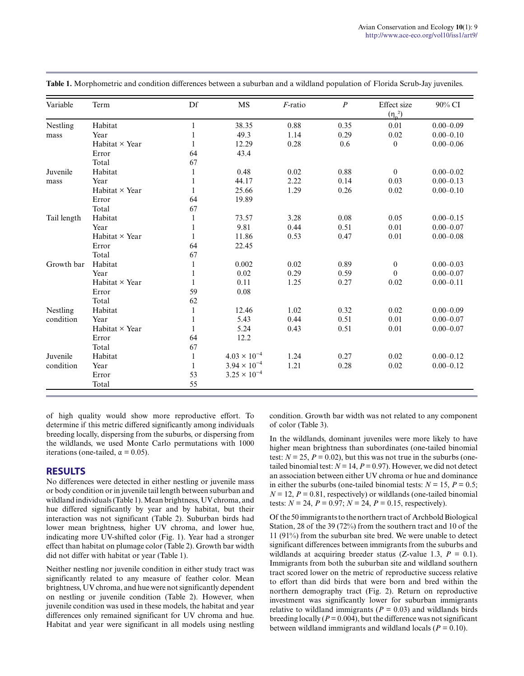| Variable    | Term           | Df           | MS                    | $F$ -ratio | $\boldsymbol{P}$ | Effect size<br>$(\eta_n^2)$ | 90% CI        |
|-------------|----------------|--------------|-----------------------|------------|------------------|-----------------------------|---------------|
| Nestling    | Habitat        | 1            | 38.35                 | 0.88       | 0.35             | 0.01                        | $0.00 - 0.09$ |
| mass        | Year           |              | 49.3                  | 1.14       | 0.29             | 0.02                        | $0.00 - 0.10$ |
|             | Habitat × Year |              | 12.29                 | 0.28       | 0.6              | $\theta$                    | $0.00 - 0.06$ |
|             | Error          | 64           | 43.4                  |            |                  |                             |               |
|             | Total          | 67           |                       |            |                  |                             |               |
| Juvenile    | Habitat        | 1            | 0.48                  | 0.02       | 0.88             | $\theta$                    | $0.00 - 0.02$ |
| mass        | Year           | 1            | 44.17                 | 2.22       | 0.14             | 0.03                        | $0.00 - 0.13$ |
|             | Habitat × Year | 1            | 25.66                 | 1.29       | 0.26             | 0.02                        | $0.00 - 0.10$ |
|             | Error          | 64           | 19.89                 |            |                  |                             |               |
|             | Total          | 67           |                       |            |                  |                             |               |
| Tail length | Habitat        | 1            | 73.57                 | 3.28       | 0.08             | 0.05                        | $0.00 - 0.15$ |
|             | Year           | 1            | 9.81                  | 0.44       | 0.51             | 0.01                        | $0.00 - 0.07$ |
|             | Habitat × Year | 1            | 11.86                 | 0.53       | 0.47             | 0.01                        | $0.00 - 0.08$ |
|             | Error          | 64           | 22.45                 |            |                  |                             |               |
|             | Total          | 67           |                       |            |                  |                             |               |
| Growth bar  | Habitat        | 1            | 0.002                 | 0.02       | 0.89             | $\mathbf{0}$                | $0.00 - 0.03$ |
|             | Year           | 1            | 0.02                  | 0.29       | 0.59             | $\theta$                    | $0.00 - 0.07$ |
|             | Habitat × Year | 1            | 0.11                  | 1.25       | 0.27             | 0.02                        | $0.00 - 0.11$ |
|             | Error          | 59           | 0.08                  |            |                  |                             |               |
|             | Total          | 62           |                       |            |                  |                             |               |
| Nestling    | Habitat        | 1            | 12.46                 | 1.02       | 0.32             | 0.02                        | $0.00 - 0.09$ |
| condition   | Year           | 1            | 5.43                  | 0.44       | 0.51             | 0.01                        | $0.00 - 0.07$ |
|             | Habitat × Year | 1            | 5.24                  | 0.43       | 0.51             | 0.01                        | $0.00 - 0.07$ |
|             | Error          | 64           | 12.2                  |            |                  |                             |               |
|             | Total          | 67           |                       |            |                  |                             |               |
| Juvenile    | Habitat        | 1            | $4.03 \times 10^{-4}$ | 1.24       | 0.27             | 0.02                        | $0.00 - 0.12$ |
| condition   | Year           | $\mathbf{1}$ | $3.94 \times 10^{-4}$ | 1.21       | 0.28             | 0.02                        | $0.00 - 0.12$ |
|             | Error          | 53           | $3.25 \times 10^{-4}$ |            |                  |                             |               |
|             | Total          | 55           |                       |            |                  |                             |               |

**Table 1.** Morphometric and condition differences between a suburban and a wildland population of Florida Scrub-Jay juveniles.

of high quality would show more reproductive effort. To determine if this metric differed significantly among individuals breeding locally, dispersing from the suburbs, or dispersing from the wildlands, we used Monte Carlo permutations with 1000 iterations (one-tailed,  $\alpha = 0.05$ ).

#### **RESULTS**

No differences were detected in either nestling or juvenile mass or body condition or in juvenile tail length between suburban and wildland individuals (Table 1). Mean brightness, UV chroma, and hue differed significantly by year and by habitat, but their interaction was not significant (Table 2). Suburban birds had lower mean brightness, higher UV chroma, and lower hue, indicating more UV-shifted color (Fig. 1). Year had a stronger effect than habitat on plumage color (Table 2). Growth bar width did not differ with habitat or year (Table 1).

Neither nestling nor juvenile condition in either study tract was significantly related to any measure of feather color. Mean brightness, UV chroma, and hue were not significantly dependent on nestling or juvenile condition (Table 2). However, when juvenile condition was used in these models, the habitat and year differences only remained significant for UV chroma and hue. Habitat and year were significant in all models using nestling condition. Growth bar width was not related to any component of color (Table 3).

In the wildlands, dominant juveniles were more likely to have higher mean brightness than subordinates (one-tailed binomial test:  $N = 25$ ,  $P = 0.02$ ), but this was not true in the suburbs (onetailed binomial test:  $N = 14$ ,  $P = 0.97$ ). However, we did not detect an association between either UV chroma or hue and dominance in either the suburbs (one-tailed binomial tests:  $N = 15$ ,  $P = 0.5$ ;  $N = 12$ ,  $P = 0.81$ , respectively) or wildlands (one-tailed binomial tests:  $N = 24$ ,  $P = 0.97$ ;  $N = 24$ ,  $P = 0.15$ , respectively).

Of the 50 immigrants to the northern tract of Archbold Biological Station, 28 of the 39 (72%) from the southern tract and 10 of the 11 (91%) from the suburban site bred. We were unable to detect significant differences between immigrants from the suburbs and wildlands at acquiring breeder status (Z-value 1.3,  $P = 0.1$ ). Immigrants from both the suburban site and wildland southern tract scored lower on the metric of reproductive success relative to effort than did birds that were born and bred within the northern demography tract (Fig. 2). Return on reproductive investment was significantly lower for suburban immigrants relative to wildland immigrants ( $P = 0.03$ ) and wildlands birds breeding locally ( $P = 0.004$ ), but the difference was not significant between wildland immigrants and wildland locals ( $P = 0.10$ ).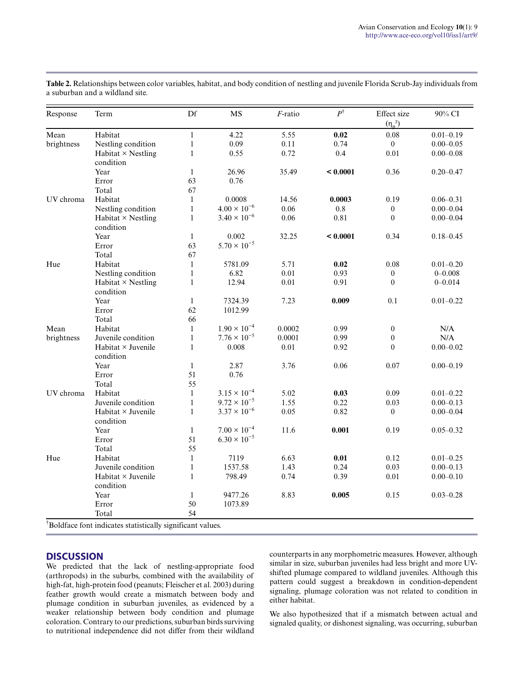| Response   | Term                                   | Df           | <b>MS</b>             | $F$ -ratio | $\overline{P}^{\dagger}$ | Effect size<br>$(\eta_n^2)$ | 90% CI        |
|------------|----------------------------------------|--------------|-----------------------|------------|--------------------------|-----------------------------|---------------|
| Mean       | Habitat                                | $\mathbf{1}$ | 4.22                  | 5.55       | 0.02                     | 0.08                        | $0.01 - 0.19$ |
| brightness | Nestling condition                     | $\mathbf{1}$ | 0.09                  | 0.11       | 0.74                     | $\mathbf{0}$                | $0.00 - 0.05$ |
|            | Habitat $\times$ Nestling<br>condition | $\mathbf{1}$ | 0.55                  | 0.72       | 0.4                      | 0.01                        | $0.00 - 0.08$ |
|            | Year                                   | $\mathbf{1}$ | 26.96                 | 35.49      | < 0.0001                 | 0.36                        | $0.20 - 0.47$ |
|            | Error                                  | 63           | 0.76                  |            |                          |                             |               |
|            | Total                                  | 67           |                       |            |                          |                             |               |
| UV chroma  | Habitat                                | $\mathbf{1}$ | 0.0008                | 14.56      | 0.0003                   | 0.19                        | $0.06 - 0.31$ |
|            | Nestling condition                     | $\mathbf{1}$ | $4.00 \times 10^{-6}$ | 0.06       | 0.8                      | $\boldsymbol{0}$            | $0.00 - 0.04$ |
|            | Habitat $\times$ Nestling<br>condition | $\mathbf{1}$ | $3.40 \times 10^{-6}$ | 0.06       | 0.81                     | $\theta$                    | $0.00 - 0.04$ |
|            | Year                                   | $\mathbf{1}$ | 0.002                 | 32.25      | < 0.0001                 | 0.34                        | $0.18 - 0.45$ |
|            | Error                                  | 63           | $5.70 \times 10^{-5}$ |            |                          |                             |               |
|            | Total                                  | 67           |                       |            |                          |                             |               |
| Hue        | Habitat                                | $\mathbf{1}$ | 5781.09               | 5.71       | $0.02\,$                 | $0.08\,$                    | $0.01 - 0.20$ |
|            | Nestling condition                     | $\mathbf{1}$ | 6.82                  | 0.01       | 0.93                     | $\overline{0}$              | $0 - 0.008$   |
|            | Habitat $\times$ Nestling              | $\mathbf{1}$ | 12.94                 | 0.01       | 0.91                     | $\mathbf{0}$                | $0 - 0.014$   |
|            | condition                              |              |                       |            |                          |                             |               |
|            | Year                                   | $\mathbf{1}$ | 7324.39               | 7.23       | 0.009                    | 0.1                         | $0.01 - 0.22$ |
|            | Error                                  | 62           | 1012.99               |            |                          |                             |               |
|            | Total                                  | 66           |                       |            |                          |                             |               |
| Mean       | Habitat                                | $\mathbf{1}$ | $1.90 \times 10^{-4}$ | 0.0002     | 0.99                     | $\boldsymbol{0}$            | N/A           |
| brightness | Juvenile condition                     | $\mathbf{1}$ | $7.76 \times 10^{-5}$ | 0.0001     | 0.99                     | $\mathbf{0}$                | N/A           |
|            | Habitat × Juvenile<br>condition        | $\mathbf{1}$ | 0.008                 | 0.01       | 0.92                     | $\mathbf{0}$                | $0.00 - 0.02$ |
|            | Year                                   | $\mathbf{1}$ | 2.87                  | 3.76       | 0.06                     | 0.07                        | $0.00 - 0.19$ |
|            | Error                                  | 51           | 0.76                  |            |                          |                             |               |
|            | Total                                  | 55           |                       |            |                          |                             |               |
| UV chroma  | Habitat                                | $\mathbf{1}$ | $3.15 \times 10^{-4}$ | 5.02       | 0.03                     | 0.09                        | $0.01 - 0.22$ |
|            | Juvenile condition                     | $\mathbf{1}$ | $9.72 \times 10^{-5}$ | 1.55       | 0.22                     | 0.03                        | $0.00 - 0.13$ |
|            | Habitat $\times$ Juvenile<br>condition | $\mathbf{1}$ | $3.37 \times 10^{-6}$ | 0.05       | 0.82                     | $\overline{0}$              | $0.00 - 0.04$ |
|            | Year                                   | $\mathbf{1}$ | $7.00 \times 10^{-4}$ | 11.6       | 0.001                    | 0.19                        | $0.05 - 0.32$ |
|            | Error                                  | 51           | $6.30 \times 10^{-5}$ |            |                          |                             |               |
|            | Total                                  | 55           |                       |            |                          |                             |               |
| Hue        | Habitat                                | $\mathbf{1}$ | 7119                  | 6.63       | 0.01                     | 0.12                        | $0.01 - 0.25$ |
|            | Juvenile condition                     | $\mathbf{1}$ | 1537.58               | 1.43       | 0.24                     | 0.03                        | $0.00 - 0.13$ |
|            | $Habitat \times Juvenile$              | $\mathbf{1}$ | 798.49                | 0.74       | 0.39                     | 0.01                        | $0.00 - 0.10$ |
|            | condition                              |              |                       |            |                          |                             |               |
|            | Year                                   | $\mathbf{1}$ | 9477.26               | 8.83       | 0.005                    | 0.15                        | $0.03 - 0.28$ |
|            | Error                                  | 50           | 1073.89               |            |                          |                             |               |
|            | Total                                  | 54           |                       |            |                          |                             |               |

**Table 2.** Relationships between color variables, habitat, and body condition of nestling and juvenile Florida Scrub-Jay individuals from a suburban and a wildland site.

†Boldface font indicates statistically significant values.

#### **DISCUSSION**

We predicted that the lack of nestling-appropriate food (arthropods) in the suburbs, combined with the availability of high-fat, high-protein food (peanuts; Fleischer et al. 2003) during feather growth would create a mismatch between body and plumage condition in suburban juveniles, as evidenced by a weaker relationship between body condition and plumage coloration. Contrary to our predictions, suburban birds surviving to nutritional independence did not differ from their wildland

counterparts in any morphometric measures. However, although similar in size, suburban juveniles had less bright and more UVshifted plumage compared to wildland juveniles. Although this pattern could suggest a breakdown in condition-dependent signaling, plumage coloration was not related to condition in either habitat.

We also hypothesized that if a mismatch between actual and signaled quality, or dishonest signaling, was occurring, suburban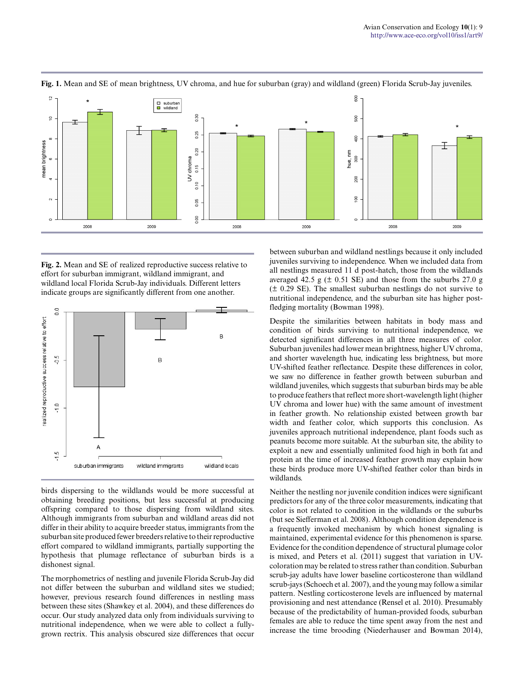

Fig. 1. Mean and SE of mean brightness, UV chroma, and hue for suburban (gray) and wildland (green) Florida Scrub-Jay juveniles.

**Fig. 2.** Mean and SE of realized reproductive success relative to effort for suburban immigrant, wildland immigrant, and wildland local Florida Scrub-Jay individuals. Different letters indicate groups are significantly different from one another.



birds dispersing to the wildlands would be more successful at obtaining breeding positions, but less successful at producing offspring compared to those dispersing from wildland sites. Although immigrants from suburban and wildland areas did not differ in their ability to acquire breeder status, immigrants from the suburban site produced fewer breeders relative to their reproductive effort compared to wildland immigrants, partially supporting the hypothesis that plumage reflectance of suburban birds is a dishonest signal.

The morphometrics of nestling and juvenile Florida Scrub-Jay did not differ between the suburban and wildland sites we studied; however, previous research found differences in nestling mass between these sites (Shawkey et al. 2004), and these differences do occur. Our study analyzed data only from individuals surviving to nutritional independence, when we were able to collect a fullygrown rectrix. This analysis obscured size differences that occur between suburban and wildland nestlings because it only included juveniles surviving to independence. When we included data from all nestlings measured 11 d post-hatch, those from the wildlands averaged 42.5 g  $(\pm 0.51 \text{ SE})$  and those from the suburbs 27.0 g (± 0.29 SE). The smallest suburban nestlings do not survive to nutritional independence, and the suburban site has higher postfledging mortality (Bowman 1998).

Despite the similarities between habitats in body mass and condition of birds surviving to nutritional independence, we detected significant differences in all three measures of color. Suburban juveniles had lower mean brightness, higher UV chroma, and shorter wavelength hue, indicating less brightness, but more UV-shifted feather reflectance. Despite these differences in color, we saw no difference in feather growth between suburban and wildland juveniles, which suggests that suburban birds may be able to produce feathers that reflect more short-wavelength light (higher UV chroma and lower hue) with the same amount of investment in feather growth. No relationship existed between growth bar width and feather color, which supports this conclusion. As juveniles approach nutritional independence, plant foods such as peanuts become more suitable. At the suburban site, the ability to exploit a new and essentially unlimited food high in both fat and protein at the time of increased feather growth may explain how these birds produce more UV-shifted feather color than birds in wildlands.

Neither the nestling nor juvenile condition indices were significant predictors for any of the three color measurements, indicating that color is not related to condition in the wildlands or the suburbs (but see Siefferman et al. 2008). Although condition dependence is a frequently invoked mechanism by which honest signaling is maintained, experimental evidence for this phenomenon is sparse. Evidence for the condition dependence of structural plumage color is mixed, and Peters et al. (2011) suggest that variation in UVcoloration may be related to stress rather than condition. Suburban scrub-jay adults have lower baseline corticosterone than wildland scrub-jays (Schoech et al. 2007), and the young may follow a similar pattern. Nestling corticosterone levels are influenced by maternal provisioning and nest attendance (Rensel et al. 2010). Presumably because of the predictability of human-provided foods, suburban females are able to reduce the time spent away from the nest and increase the time brooding (Niederhauser and Bowman 2014),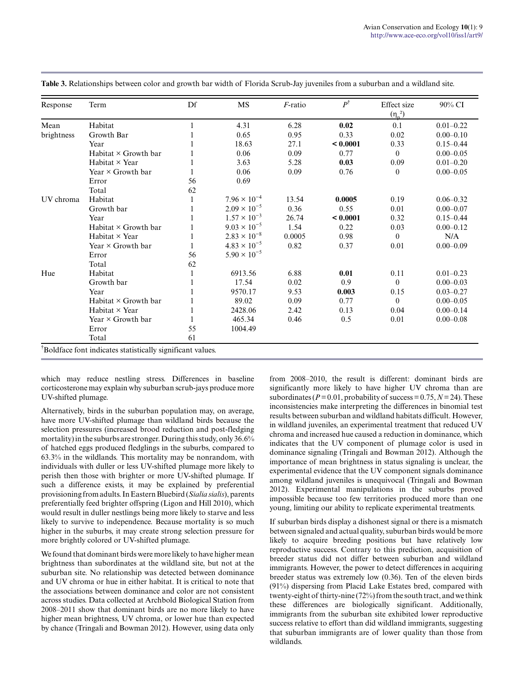| Response   | Term                        | Df | MS                    | F-ratio | $P^\dagger$ | Effect size  | 90% CI        |
|------------|-----------------------------|----|-----------------------|---------|-------------|--------------|---------------|
|            |                             |    |                       |         |             | $(\eta_n^2)$ |               |
| Mean       | Habitat                     |    | 4.31                  | 6.28    | 0.02        | 0.1          | $0.01 - 0.22$ |
| brightness | Growth Bar                  |    | 0.65                  | 0.95    | 0.33        | 0.02         | $0.00 - 0.10$ |
|            | Year                        |    | 18.63                 | 27.1    | < 0.0001    | 0.33         | $0.15 - 0.44$ |
|            | Habitat $\times$ Growth bar |    | 0.06                  | 0.09    | 0.77        | $\Omega$     | $0.00 - 0.05$ |
|            | Habitat × Year              |    | 3.63                  | 5.28    | 0.03        | 0.09         | $0.01 - 0.20$ |
|            | Year $\times$ Growth bar    |    | 0.06                  | 0.09    | 0.76        | $\Omega$     | $0.00 - 0.05$ |
|            | Error                       | 56 | 0.69                  |         |             |              |               |
|            | Total                       | 62 |                       |         |             |              |               |
| UV chroma  | Habitat                     |    | $7.96 \times 10^{-4}$ | 13.54   | 0.0005      | 0.19         | $0.06 - 0.32$ |
|            | Growth bar                  |    | $2.09 \times 10^{-5}$ | 0.36    | 0.55        | 0.01         | $0.00 - 0.07$ |
|            | Year                        |    | $1.57 \times 10^{-3}$ | 26.74   | < 0.0001    | 0.32         | $0.15 - 0.44$ |
|            | Habitat $\times$ Growth bar |    | $9.03 \times 10^{-5}$ | 1.54    | 0.22        | 0.03         | $0.00 - 0.12$ |
|            | Habitat × Year              |    | $2.83 \times 10^{-8}$ | 0.0005  | 0.98        | $\theta$     | N/A           |
|            | Year $\times$ Growth bar    |    | $4.83 \times 10^{-5}$ | 0.82    | 0.37        | 0.01         | $0.00 - 0.09$ |
|            | Error                       | 56 | $5.90 \times 10^{-5}$ |         |             |              |               |
|            | Total                       | 62 |                       |         |             |              |               |
| Hue        | Habitat                     |    | 6913.56               | 6.88    | 0.01        | 0.11         | $0.01 - 0.23$ |
|            | Growth bar                  |    | 17.54                 | 0.02    | 0.9         | $\Omega$     | $0.00 - 0.03$ |
|            | Year                        |    | 9570.17               | 9.53    | 0.003       | 0.15         | $0.03 - 0.27$ |
|            | Habitat × Growth bar        |    | 89.02                 | 0.09    | 0.77        | $\theta$     | $0.00 - 0.05$ |
|            | Habitat $\times$ Year       |    | 2428.06               | 2.42    | 0.13        | 0.04         | $0.00 - 0.14$ |
|            | Year $\times$ Growth bar    |    | 465.34                | 0.46    | 0.5         | 0.01         | $0.00 - 0.08$ |
|            | Error                       | 55 | 1004.49               |         |             |              |               |
|            | Total                       | 61 |                       |         |             |              |               |

**Table 3.** Relationships between color and growth bar width of Florida Scrub-Jay juveniles from a suburban and a wildland site.

which may reduce nestling stress. Differences in baseline corticosterone may explain why suburban scrub-jays produce more UV-shifted plumage.

Alternatively, birds in the suburban population may, on average, have more UV-shifted plumage than wildland birds because the selection pressures (increased brood reduction and post-fledging mortality) in the suburbs are stronger. During this study, only 36.6% of hatched eggs produced fledglings in the suburbs, compared to 63.3% in the wildlands. This mortality may be nonrandom, with individuals with duller or less UV-shifted plumage more likely to perish then those with brighter or more UV-shifted plumage. If such a difference exists, it may be explained by preferential provisioning from adults. In Eastern Bluebird (*Sialia sialis*), parents preferentially feed brighter offspring (Ligon and Hill 2010), which would result in duller nestlings being more likely to starve and less likely to survive to independence. Because mortality is so much higher in the suburbs, it may create strong selection pressure for more brightly colored or UV-shifted plumage.

We found that dominant birds were more likely to have higher mean brightness than subordinates at the wildland site, but not at the suburban site. No relationship was detected between dominance and UV chroma or hue in either habitat. It is critical to note that the associations between dominance and color are not consistent across studies. Data collected at Archbold Biological Station from 2008–2011 show that dominant birds are no more likely to have higher mean brightness, UV chroma, or lower hue than expected by chance (Tringali and Bowman 2012). However, using data only from 2008–2010, the result is different: dominant birds are significantly more likely to have higher UV chroma than are subordinates ( $P = 0.01$ , probability of success =  $0.75$ ,  $N = 24$ ). These inconsistencies make interpreting the differences in binomial test results between suburban and wildland habitats difficult. However, in wildland juveniles, an experimental treatment that reduced UV chroma and increased hue caused a reduction in dominance, which indicates that the UV component of plumage color is used in dominance signaling (Tringali and Bowman 2012). Although the importance of mean brightness in status signaling is unclear, the experimental evidence that the UV component signals dominance among wildland juveniles is unequivocal (Tringali and Bowman 2012). Experimental manipulations in the suburbs proved impossible because too few territories produced more than one young, limiting our ability to replicate experimental treatments.

If suburban birds display a dishonest signal or there is a mismatch between signaled and actual quality, suburban birds would be more likely to acquire breeding positions but have relatively low reproductive success. Contrary to this prediction, acquisition of breeder status did not differ between suburban and wildland immigrants. However, the power to detect differences in acquiring breeder status was extremely low (0.36). Ten of the eleven birds (91%) dispersing from Placid Lake Estates bred, compared with twenty-eight of thirty-nine (72%) from the south tract, and we think these differences are biologically significant. Additionally, immigrants from the suburban site exhibited lower reproductive success relative to effort than did wildland immigrants, suggesting that suburban immigrants are of lower quality than those from wildlands.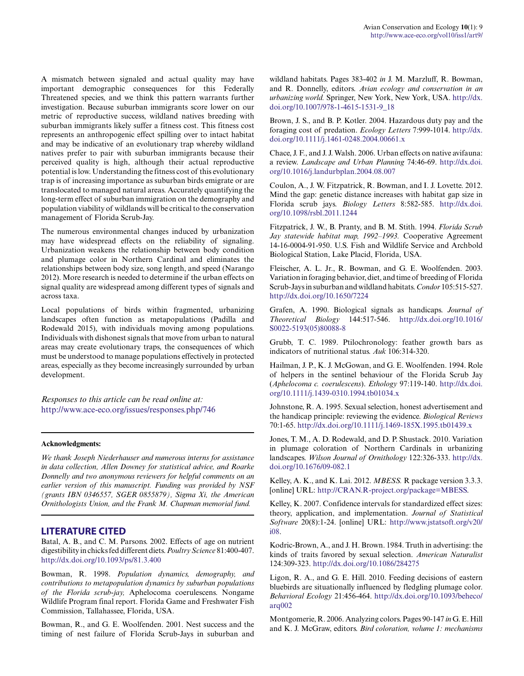A mismatch between signaled and actual quality may have important demographic consequences for this Federally Threatened species, and we think this pattern warrants further investigation. Because suburban immigrants score lower on our metric of reproductive success, wildland natives breeding with suburban immigrants likely suffer a fitness cost. This fitness cost represents an anthropogenic effect spilling over to intact habitat and may be indicative of an evolutionary trap whereby wildland natives prefer to pair with suburban immigrants because their perceived quality is high, although their actual reproductive potential is low. Understanding the fitness cost of this evolutionary trap is of increasing importance as suburban birds emigrate or are translocated to managed natural areas. Accurately quantifying the long-term effect of suburban immigration on the demography and population viability of wildlands will be critical to the conservation management of Florida Scrub-Jay.

The numerous environmental changes induced by urbanization may have widespread effects on the reliability of signaling. Urbanization weakens the relationship between body condition and plumage color in Northern Cardinal and eliminates the relationships between body size, song length, and speed (Narango 2012). More research is needed to determine if the urban effects on signal quality are widespread among different types of signals and across taxa.

Local populations of birds within fragmented, urbanizing landscapes often function as metapopulations (Padilla and Rodewald 2015), with individuals moving among populations. Individuals with dishonest signals that move from urban to natural areas may create evolutionary traps, the consequences of which must be understood to manage populations effectively in protected areas, especially as they become increasingly surrounded by urban development.

*Responses to this article can be read online at:* <http://www.ace-eco.org/issues/responses.php/746>

#### **Acknowledgments:**

*We thank Joseph Niederhauser and numerous interns for assistance in data collection, Allen Downey for statistical advice, and Roarke Donnelly and two anonymous reviewers for helpful comments on an earlier version of this manuscript. Funding was provided by NSF (grants IBN 0346557, SGER 0855879), Sigma Xi, the American Ornithologists Union, and the Frank M. Chapman memorial fund.*

#### **LITERATURE CITED**

Batal, A. B., and C. M. Parsons. 2002. Effects of age on nutrient digestibility in chicks fed different diets. *Poultry Science* 81:400-407. <http://dx.doi.org/10.1093/ps/81.3.400>

Bowman, R. 1998. *Population dynamics, demography, and contributions to metapopulation dynamics by suburban populations of the Florida scrub-jay,* Aphelocoma coerulescens. Nongame Wildlife Program final report. Florida Game and Freshwater Fish Commission, Tallahassee, Florida, USA.

Bowman, R., and G. E. Woolfenden. 2001. Nest success and the timing of nest failure of Florida Scrub-Jays in suburban and wildland habitats. Pages 383-402 *in* J. M. Marzluff, R. Bowman, and R. Donnelly, editors. *Avian ecology and conservation in an urbanizing world.* Springer, New York, New York, USA. [http://dx.](http://dx.doi.org/10.1007/978-1-4615-1531-9_18) [doi.org/10.1007/978-1-4615-1531-9\\_18](http://dx.doi.org/10.1007/978-1-4615-1531-9_18) 

Brown, J. S., and B. P. Kotler. 2004. Hazardous duty pay and the foraging cost of predation. *Ecology Letters* 7:999-1014. [http://dx.](http://dx.doi.org/10.1111/j.1461-0248.2004.00661.x) [doi.org/10.1111/j.1461-0248.2004.00661.x](http://dx.doi.org/10.1111/j.1461-0248.2004.00661.x)

Chace, J. F., and J. J. Walsh. 2006. Urban effects on native avifauna: a review. *Landscape and Urban Planning* 74:46-69. [http://dx.doi.](http://dx.doi.org/10.1016/j.landurbplan.2004.08.007) [org/10.1016/j.landurbplan.2004.08.007](http://dx.doi.org/10.1016/j.landurbplan.2004.08.007)

Coulon, A., J. W. Fitzpatrick, R. Bowman, and I. J. Lovette. 2012. Mind the gap: genetic distance increases with habitat gap size in Florida scrub jays. *Biology Letters* 8:582-585. [http://dx.doi.](http://dx.doi.org/10.1098/rsbl.2011.1244) [org/10.1098/rsbl.2011.1244](http://dx.doi.org/10.1098/rsbl.2011.1244)

Fitzpatrick, J. W., B. Pranty, and B. M. Stith. 1994. *Florida Scrub Jay statewide habitat map, 1992–1993.* Cooperative Agreement 14-16-0004-91-950. U.S. Fish and Wildlife Service and Archbold Biological Station, Lake Placid, Florida, USA.

Fleischer, A. L. Jr., R. Bowman, and G. E. Woolfenden. 2003. Variation in foraging behavior, diet, and time of breeding of Florida Scrub-Jays in suburban and wildland habitats. *Condor* 105:515-527. <http://dx.doi.org/10.1650/7224>

Grafen, A. 1990. Biological signals as handicaps. *Journal of Theoretical Biology* 144:517-546. [http://dx.doi.org/10.1016/](http://dx.doi.org/10.1016/S0022-5193%2805%2980088-8) [S0022-5193\(05\)80088-8](http://dx.doi.org/10.1016/S0022-5193%2805%2980088-8) 

Grubb, T. C. 1989. Ptilochronology: feather growth bars as indicators of nutritional status. *Auk* 106:314-320.

Hailman, J. P., K. J. McGowan, and G. E. Woolfenden. 1994. Role of helpers in the sentinel behaviour of the Florida Scrub Jay (*Aphelocoma c. coerulescens*). *Ethology* 97:119-140. [http://dx.doi.](http://dx.doi.org/10.1111/j.1439-0310.1994.tb01034.x) [org/10.1111/j.1439-0310.1994.tb01034.x](http://dx.doi.org/10.1111/j.1439-0310.1994.tb01034.x)

Johnstone, R. A. 1995. Sexual selection, honest advertisement and the handicap principle: reviewing the evidence. *Biological Reviews* 70:1-65. <http://dx.doi.org/10.1111/j.1469-185X.1995.tb01439.x>

Jones, T. M., A. D. Rodewald, and D. P. Shustack. 2010. Variation in plumage coloration of Northern Cardinals in urbanizing landscapes. *Wilson Journal of Ornithology* 122:326-333. [http://dx.](http://dx.doi.org/10.1676/09-082.1) [doi.org/10.1676/09-082.1](http://dx.doi.org/10.1676/09-082.1)

Kelley, A. K., and K. Lai. 2012. *MBESS.* R package version 3.3.3. [online] URL: [http://CRAN.R-project.org/package=MBESS.](http://CRAN.R-project.org/package=MBESS)

Kelley, K. 2007. Confidence intervals for standardized effect sizes: theory, application, and implementation. *Journal of Statistical Software* 20(8):1-24. [online] URL: [http://www.jstatsoft.org/v20/](http://www.jstatsoft.org/v20/i08) [i08](http://www.jstatsoft.org/v20/i08).

Kodric-Brown, A., and J. H. Brown. 1984. Truth in advertising: the kinds of traits favored by sexual selection. *American Naturalist* 124:309-323. <http://dx.doi.org/10.1086/284275>

Ligon, R. A., and G. E. Hill. 2010. Feeding decisions of eastern bluebirds are situationally influenced by fledgling plumage color. *Behavioral Ecology* 21:456-464. [http://dx.doi.org/10.1093/beheco/](http://dx.doi.org/10.1093/beheco/arq002) [arq002](http://dx.doi.org/10.1093/beheco/arq002)

Montgomerie, R. 2006. Analyzing colors. Pages 90-147 *in* G. E. Hill and K. J. McGraw, editors. *Bird coloration, volume 1: mechanisms*